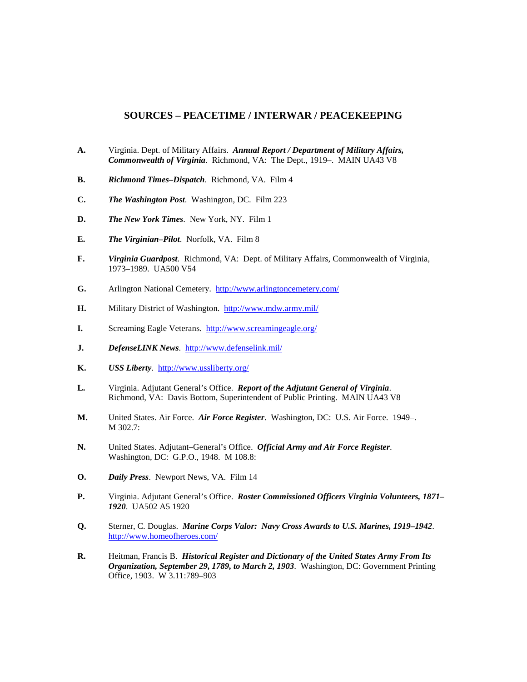## **SOURCES – PEACETIME / INTERWAR / PEACEKEEPING**

- **A.** Virginia. Dept. of Military Affairs. *Annual Report / Department of Military Affairs, Commonwealth of Virginia*. Richmond, VA: The Dept., 1919–. MAIN UA43 V8
- **B.** *Richmond Times–Dispatch*. Richmond, VA. Film 4
- **C.** *The Washington Post*. Washington, DC. Film 223
- **D.** *The New York Times*. New York, NY. Film 1
- **E.** *The Virginian–Pilot*. Norfolk, VA. Film 8
- **F.** *Virginia Guardpost*. Richmond, VA: Dept. of Military Affairs, Commonwealth of Virginia, 1973–1989. UA500 V54
- **G.** Arlington National Cemetery.<http://www.arlingtoncemetery.com/>
- **H.** Military District of Washington. <http://www.mdw.army.mil/>
- **I.** Screaming Eagle Veterans. <http://www.screamingeagle.org/>
- **J.** *DefenseLINK News*. <http://www.defenselink.mil/>
- **K.** *USS Liberty*. <http://www.ussliberty.org/>
- **L.** Virginia. Adjutant General's Office. *Report of the Adjutant General of Virginia*. Richmond, VA: Davis Bottom, Superintendent of Public Printing. MAIN UA43 V8
- **M.** United States. Air Force. *Air Force Register*. Washington, DC: U.S. Air Force. 1949–. M 302.7:
- **N.** United States. Adjutant–General's Office. *Official Army and Air Force Register*. Washington, DC: G.P.O., 1948. M 108.8:
- **O.** *Daily Press*. Newport News, VA. Film 14
- **P.** Virginia. Adjutant General's Office. *Roster Commissioned Officers Virginia Volunteers, 1871– 1920*. UA502 A5 1920
- **Q.** Sterner, C. Douglas. *Marine Corps Valor: Navy Cross Awards to U.S. Marines, 1919–1942*. <http://www.homeofheroes.com/>
- **R.** Heitman, Francis B. *Historical Register and Dictionary of the United States Army From Its Organization, September 29, 1789, to March 2, 1903*. Washington, DC: Government Printing Office, 1903. W 3.11:789–903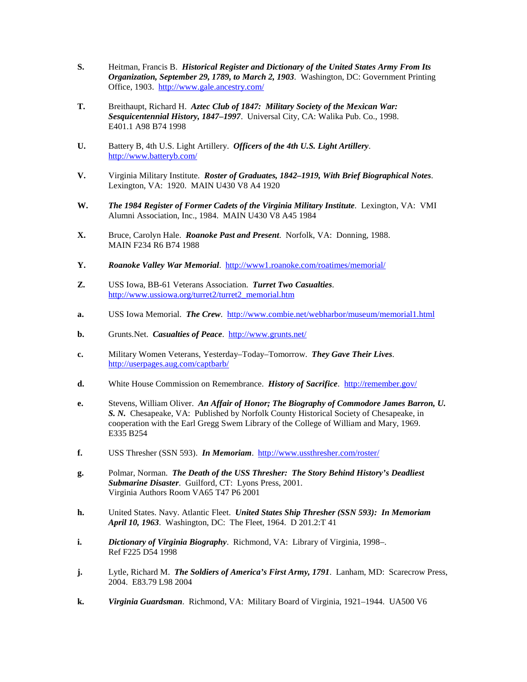- **S.** Heitman, Francis B. *Historical Register and Dictionary of the United States Army From Its Organization, September 29, 1789, to March 2, 1903*. Washington, DC: Government Printing Office, 1903. <http://www.gale.ancestry.com/>
- **T.** Breithaupt, Richard H. *Aztec Club of 1847: Military Society of the Mexican War: Sesquicentennial History, 1847–1997*. Universal City, CA: Walika Pub. Co., 1998. E401.1 A98 B74 1998
- **U.** Battery B, 4th U.S. Light Artillery. *Officers of the 4th U.S. Light Artillery*. <http://www.batteryb.com/>
- **V.** Virginia Military Institute. *Roster of Graduates, 1842–1919, With Brief Biographical Notes*. Lexington, VA: 1920. MAIN U430 V8 A4 1920
- **W.** *The 1984 Register of Former Cadets of the Virginia Military Institute*. Lexington, VA: VMI Alumni Association, Inc., 1984. MAIN U430 V8 A45 1984
- **X.** Bruce, Carolyn Hale. *Roanoke Past and Present*. Norfolk, VA: Donning, 1988. MAIN F234 R6 B74 1988
- **Y.** *Roanoke Valley War Memorial*. <http://www1.roanoke.com/roatimes/memorial/>
- **Z.** USS Iowa, BB-61 Veterans Association. *Turret Two Casualties*. [http://www.ussiowa.org/turret2/turret2\\_memorial.htm](http://www.ussiowa.org/turret2/turret2_memorial.htm)
- **a.** USS Iowa Memorial. *The Crew*. <http://www.combie.net/webharbor/museum/memorial1.html>
- **b.** Grunts.Net. *Casualties of Peace*.<http://www.grunts.net/>
- **c.** Military Women Veterans, Yesterday–Today–Tomorrow. *They Gave Their Lives*. <http://userpages.aug.com/captbarb/>
- **d.** White House Commission on Remembrance. *History of Sacrifice*. <http://remember.gov/>
- **e.** Stevens, William Oliver. *An Affair of Honor; The Biography of Commodore James Barron, U. S. N.* Chesapeake, VA: Published by Norfolk County Historical Society of Chesapeake, in cooperation with the Earl Gregg Swem Library of the College of William and Mary, 1969. E335 B254
- **f.** USS Thresher (SSN 593). *In Memoriam*. <http://www.ussthresher.com/roster/>
- **g.** Polmar, Norman. *The Death of the USS Thresher: The Story Behind History's Deadliest Submarine Disaster*. Guilford, CT: Lyons Press, 2001. Virginia Authors Room VA65 T47 P6 2001
- **h.** United States. Navy. Atlantic Fleet. *United States Ship Thresher (SSN 593): In Memoriam April 10, 1963*. Washington, DC: The Fleet, 1964. D 201.2:T 41
- **i.** *Dictionary of Virginia Biography*. Richmond, VA: Library of Virginia, 1998–. Ref F225 D54 1998
- **j.** Lytle, Richard M. *The Soldiers of America's First Army, 1791*. Lanham, MD: Scarecrow Press, 2004. E83.79 L98 2004
- **k.** *Virginia Guardsman*. Richmond, VA: Military Board of Virginia, 1921–1944. UA500 V6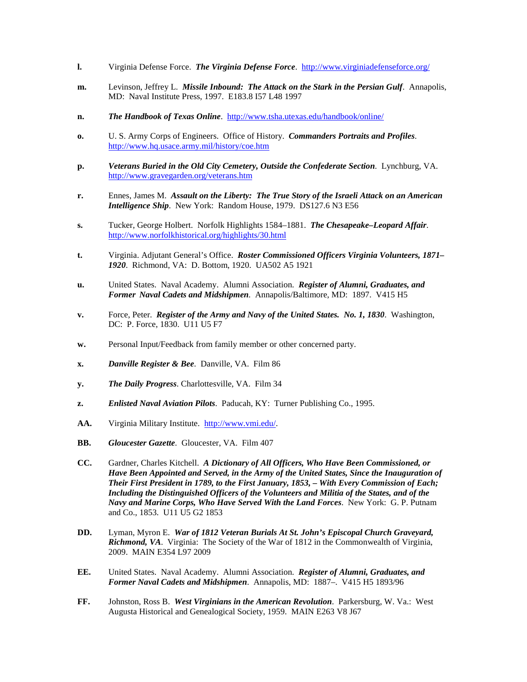- **l.** Virginia Defense Force. *The Virginia Defense Force*.<http://www.virginiadefenseforce.org/>
- **m.** Levinson, Jeffrey L. *Missile Inbound: The Attack on the Stark in the Persian Gulf*. Annapolis, MD: Naval Institute Press, 1997. E183.8 I57 L48 1997
- **n.** *The Handbook of Texas Online*. <http://www.tsha.utexas.edu/handbook/online/>
- **o.** U. S. Army Corps of Engineers. Office of History. *Commanders Portraits and Profiles*. <http://www.hq.usace.army.mil/history/coe.htm>
- **p.** *Veterans Buried in the Old City Cemetery, Outside the Confederate Section*. Lynchburg, VA. <http://www.gravegarden.org/veterans.htm>
- **r.** Ennes, James M. *Assault on the Liberty: The True Story of the Israeli Attack on an American Intelligence Ship*. New York: Random House, 1979. DS127.6 N3 E56
- **s.** Tucker, George Holbert. Norfolk Highlights 1584–1881. *The Chesapeake–Leopard Affair*. <http://www.norfolkhistorical.org/highlights/30.html>
- **t.** Virginia. Adjutant General's Office. *Roster Commissioned Officers Virginia Volunteers, 1871– 1920*. Richmond, VA: D. Bottom, 1920. UA502 A5 1921
- **u.** United States. Naval Academy. Alumni Association. *Register of Alumni, Graduates, and Former Naval Cadets and Midshipmen*. Annapolis/Baltimore, MD: 1897. V415 H5
- **v.** Force, Peter. *Register of the Army and Navy of the United States. No. 1, 1830*. Washington, DC: P. Force, 1830. U11 U5 F7
- **w.** Personal Input/Feedback from family member or other concerned party.
- **x.** *Danville Register & Bee*. Danville, VA. Film 86
- **y.** *The Daily Progress*. Charlottesville, VA. Film 34
- **z.** *Enlisted Naval Aviation Pilots*. Paducah, KY: Turner Publishing Co., 1995.
- **AA.** Virginia Military Institute. [http://www.vmi.edu/.](http://www.vmi.edu/)
- **BB.** *Gloucester Gazette*. Gloucester, VA. Film 407
- **CC.** Gardner, Charles Kitchell. *A Dictionary of All Officers, Who Have Been Commissioned, or Have Been Appointed and Served, in the Army of the United States, Since the Inauguration of Their First President in 1789, to the First January, 1853, – With Every Commission of Each; Including the Distinguished Officers of the Volunteers and Militia of the States, and of the Navy and Marine Corps, Who Have Served With the Land Forces*. New York: G. P. Putnam and Co., 1853. U11 U5 G2 1853
- **DD.** Lyman, Myron E. *War of 1812 Veteran Burials At St. John's Episcopal Church Graveyard, Richmond, VA*. Virginia: The Society of the War of 1812 in the Commonwealth of Virginia, 2009. MAIN E354 L97 2009
- **EE.** United States. Naval Academy. Alumni Association. *Register of Alumni, Graduates, and Former Naval Cadets and Midshipmen*. Annapolis, MD: 1887–. V415 H5 1893/96
- **FF.** Johnston, Ross B. *West Virginians in the American Revolution*. Parkersburg, W. Va.: West Augusta Historical and Genealogical Society, 1959. MAIN E263 V8 J67